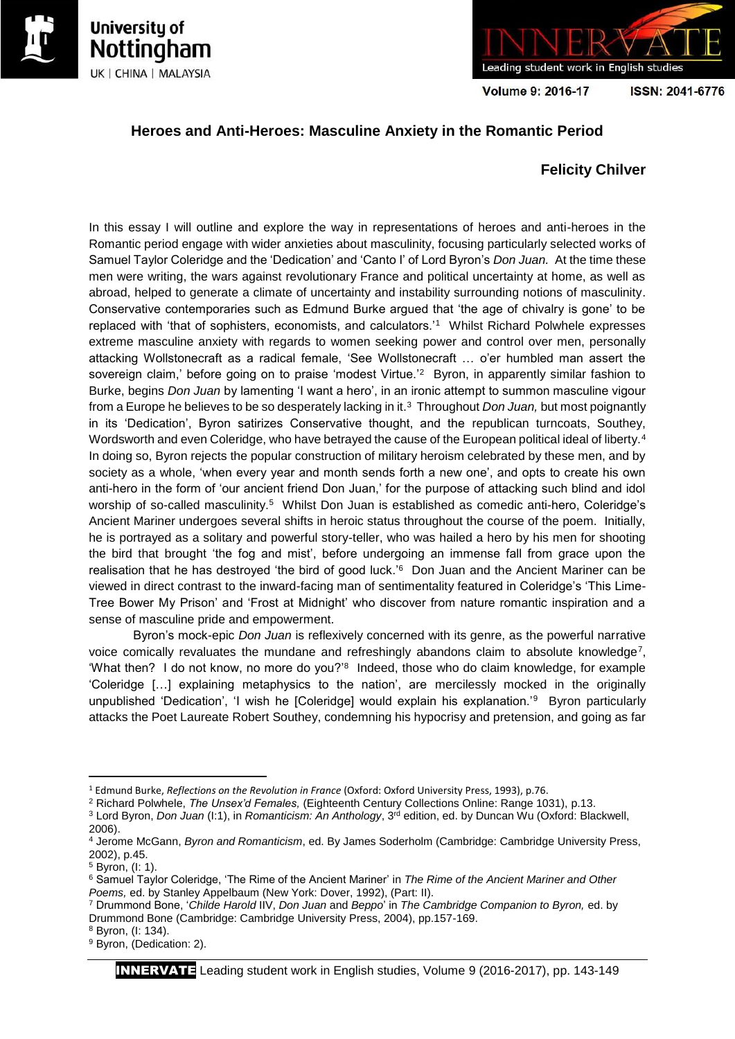





Volume 9: 2016-17

ISSN: 2041-6776

# **Heroes and Anti-Heroes: Masculine Anxiety in the Romantic Period**

## **Felicity Chilver**

In this essay I will outline and explore the way in representations of heroes and anti-heroes in the Romantic period engage with wider anxieties about masculinity, focusing particularly selected works of Samuel Taylor Coleridge and the 'Dedication' and 'Canto I' of Lord Byron's *Don Juan.* At the time these men were writing, the wars against revolutionary France and political uncertainty at home, as well as abroad, helped to generate a climate of uncertainty and instability surrounding notions of masculinity. Conservative contemporaries such as Edmund Burke argued that 'the age of chivalry is gone' to be replaced with 'that of sophisters, economists, and calculators.'<sup>1</sup> Whilst Richard Polwhele expresses extreme masculine anxiety with regards to women seeking power and control over men, personally attacking Wollstonecraft as a radical female, 'See Wollstonecraft … o'er humbled man assert the sovereign claim,' before going on to praise 'modest Virtue.<sup>'2</sup> Byron, in apparently similar fashion to Burke, begins *Don Juan* by lamenting 'I want a hero', in an ironic attempt to summon masculine vigour from a Europe he believes to be so desperately lacking in it.<sup>3</sup> Throughout *Don Juan,* but most poignantly in its 'Dedication', Byron satirizes Conservative thought, and the republican turncoats, Southey, Wordsworth and even Coleridge, who have betrayed the cause of the European political ideal of liberty.<sup>4</sup> In doing so, Byron rejects the popular construction of military heroism celebrated by these men, and by society as a whole, 'when every year and month sends forth a new one', and opts to create his own anti-hero in the form of 'our ancient friend Don Juan,' for the purpose of attacking such blind and idol worship of so-called masculinity.<sup>5</sup> Whilst Don Juan is established as comedic anti-hero, Coleridge's Ancient Mariner undergoes several shifts in heroic status throughout the course of the poem. Initially, he is portrayed as a solitary and powerful story-teller, who was hailed a hero by his men for shooting the bird that brought 'the fog and mist', before undergoing an immense fall from grace upon the realisation that he has destroyed 'the bird of good luck.'<sup>6</sup> Don Juan and the Ancient Mariner can be viewed in direct contrast to the inward-facing man of sentimentality featured in Coleridge's 'This Lime-Tree Bower My Prison' and 'Frost at Midnight' who discover from nature romantic inspiration and a sense of masculine pride and empowerment.

Byron's mock-epic *Don Juan* is reflexively concerned with its genre, as the powerful narrative voice comically revaluates the mundane and refreshingly abandons claim to absolute knowledge<sup>7</sup>, 'What then? I do not know, no more do you?'<sup>8</sup> Indeed, those who do claim knowledge, for example 'Coleridge […] explaining metaphysics to the nation', are mercilessly mocked in the originally unpublished 'Dedication', 'I wish he [Coleridge] would explain his explanation.<sup>'9</sup> Byron particularly attacks the Poet Laureate Robert Southey, condemning his hypocrisy and pretension, and going as far

**.** 

<sup>1</sup> Edmund Burke, *Reflections on the Revolution in France* (Oxford: Oxford University Press, 1993), p.76.

<sup>2</sup> Richard Polwhele, *The Unsex'd Females,* (Eighteenth Century Collections Online: Range 1031), p.13.

<sup>&</sup>lt;sup>3</sup> Lord Byron, *Don Juan* (I:1), in *Romanticism: An Anthology*, 3<sup>rd</sup> edition, ed. by Duncan Wu (Oxford: Blackwell, 2006).

<sup>4</sup> Jerome McGann, *Byron and Romanticism*, ed. By James Soderholm (Cambridge: Cambridge University Press, 2002), p.45.

<sup>5</sup> Byron, (I: 1).

<sup>6</sup> Samuel Taylor Coleridge, 'The Rime of the Ancient Mariner' in *The Rime of the Ancient Mariner and Other Poems,* ed. by Stanley Appelbaum (New York: Dover, 1992), (Part: II).

<sup>7</sup> Drummond Bone, '*Childe Harold* IIV, *Don Juan* and *Beppo*' in *The Cambridge Companion to Byron,* ed. by Drummond Bone (Cambridge: Cambridge University Press, 2004), pp.157-169.

<sup>8</sup> Byron, (I: 134).

<sup>&</sup>lt;sup>9</sup> Byron, (Dedication: 2).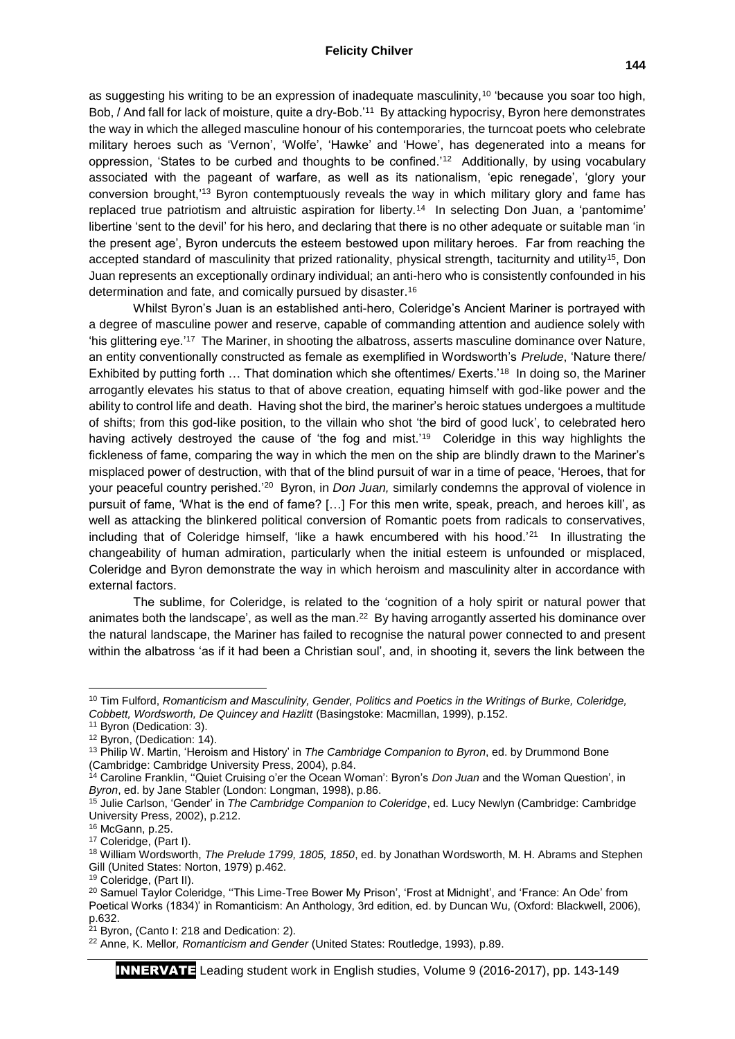#### **Felicity Chilver**

as suggesting his writing to be an expression of inadequate masculinity,<sup>10</sup> 'because you soar too high, Bob, / And fall for lack of moisture, quite a dry-Bob.'<sup>11</sup> By attacking hypocrisy, Byron here demonstrates the way in which the alleged masculine honour of his contemporaries, the turncoat poets who celebrate military heroes such as 'Vernon', 'Wolfe', 'Hawke' and 'Howe', has degenerated into a means for oppression, 'States to be curbed and thoughts to be confined.'<sup>12</sup> Additionally, by using vocabulary associated with the pageant of warfare, as well as its nationalism, 'epic renegade', 'glory your conversion brought,'<sup>13</sup> Byron contemptuously reveals the way in which military glory and fame has replaced true patriotism and altruistic aspiration for liberty.<sup>14</sup> In selecting Don Juan, a 'pantomime' libertine 'sent to the devil' for his hero, and declaring that there is no other adequate or suitable man 'in the present age', Byron undercuts the esteem bestowed upon military heroes. Far from reaching the accepted standard of masculinity that prized rationality, physical strength, taciturnity and utility<sup>15</sup>, Don Juan represents an exceptionally ordinary individual; an anti-hero who is consistently confounded in his determination and fate, and comically pursued by disaster.<sup>16</sup>

Whilst Byron's Juan is an established anti-hero, Coleridge's Ancient Mariner is portrayed with a degree of masculine power and reserve, capable of commanding attention and audience solely with 'his glittering eye.'<sup>17</sup> The Mariner, in shooting the albatross, asserts masculine dominance over Nature, an entity conventionally constructed as female as exemplified in Wordsworth's *Prelude*, 'Nature there/ Exhibited by putting forth ... That domination which she oftentimes/ Exerts.<sup>'18</sup> In doing so, the Mariner arrogantly elevates his status to that of above creation, equating himself with god-like power and the ability to control life and death. Having shot the bird, the mariner's heroic statues undergoes a multitude of shifts; from this god-like position, to the villain who shot 'the bird of good luck', to celebrated hero having actively destroyed the cause of 'the fog and mist.'<sup>19</sup> Coleridge in this way highlights the fickleness of fame, comparing the way in which the men on the ship are blindly drawn to the Mariner's misplaced power of destruction, with that of the blind pursuit of war in a time of peace, 'Heroes, that for your peaceful country perished.<sup>'20</sup> Byron, in *Don Juan*, similarly condemns the approval of violence in pursuit of fame, 'What is the end of fame? […] For this men write, speak, preach, and heroes kill', as well as attacking the blinkered political conversion of Romantic poets from radicals to conservatives, including that of Coleridge himself, 'like a hawk encumbered with his hood. $21$  In illustrating the changeability of human admiration, particularly when the initial esteem is unfounded or misplaced, Coleridge and Byron demonstrate the way in which heroism and masculinity alter in accordance with external factors.

The sublime, for Coleridge, is related to the 'cognition of a holy spirit or natural power that animates both the landscape', as well as the man. $^{22}$  By having arrogantly asserted his dominance over the natural landscape, the Mariner has failed to recognise the natural power connected to and present within the albatross 'as if it had been a Christian soul', and, in shooting it, severs the link between the

1

<sup>10</sup> Tim Fulford, *Romanticism and Masculinity, Gender, Politics and Poetics in the Writings of Burke, Coleridge, Cobbett, Wordsworth, De Quincey and Hazlitt* (Basingstoke: Macmillan, 1999), p.152.

<sup>11</sup> Byron (Dedication: 3).

<sup>&</sup>lt;sup>12</sup> Byron, (Dedication: 14).

<sup>13</sup> Philip W. Martin, 'Heroism and History' in *The Cambridge Companion to Byron*, ed. by Drummond Bone (Cambridge: Cambridge University Press, 2004), p.84.

<sup>14</sup> Caroline Franklin, ''Quiet Cruising o'er the Ocean Woman': Byron's *Don Juan* and the Woman Question', in *Byron*, ed. by Jane Stabler (London: Longman, 1998), p.86.

<sup>15</sup> Julie Carlson, 'Gender' in *The Cambridge Companion to Coleridge*, ed. Lucy Newlyn (Cambridge: Cambridge University Press, 2002), p.212.

<sup>16</sup> McGann, p.25.

<sup>17</sup> Coleridge, (Part I).

<sup>18</sup> William Wordsworth, *The Prelude 1799, 1805, 1850*, ed. by Jonathan Wordsworth, M. H. Abrams and Stephen Gill (United States: Norton, 1979) p.462.

<sup>19</sup> Coleridge, (Part II).

<sup>&</sup>lt;sup>20</sup> Samuel Taylor Coleridge, "This Lime-Tree Bower My Prison', 'Frost at Midnight', and 'France: An Ode' from Poetical Works (1834)' in Romanticism: An Anthology, 3rd edition, ed. by Duncan Wu, (Oxford: Blackwell, 2006), p.632.

 $21$  Byron, (Canto I: 218 and Dedication: 2).

<sup>22</sup> Anne, K. Mellor*, Romanticism and Gender* (United States: Routledge, 1993), p.89.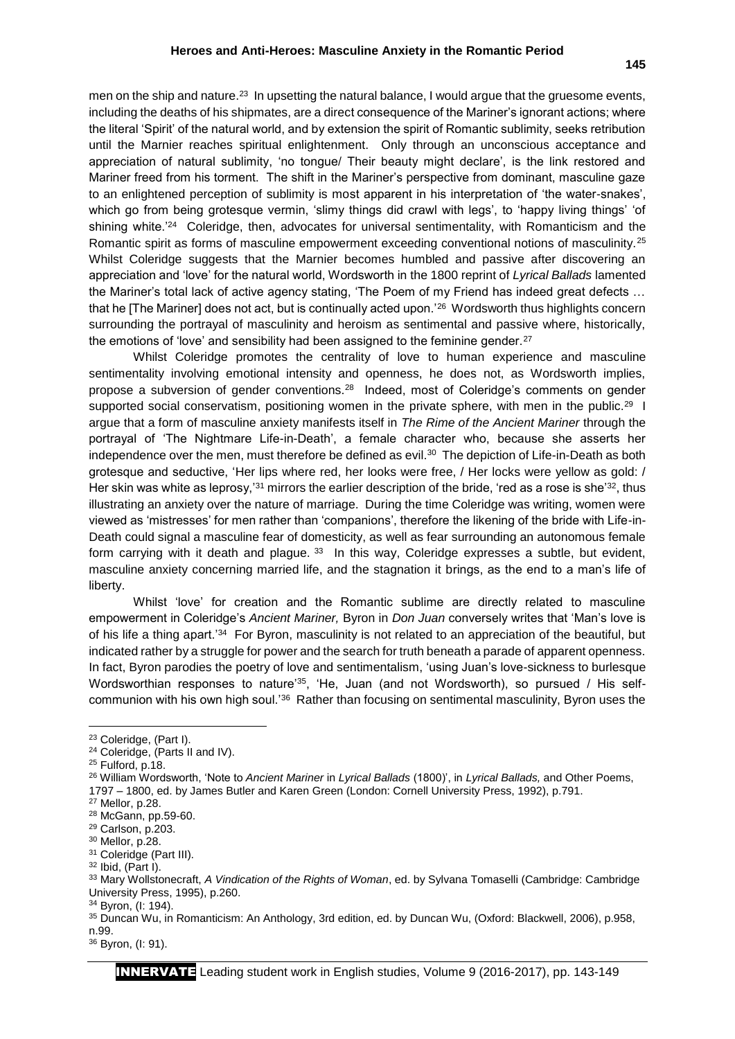men on the ship and nature.<sup>23</sup> In upsetting the natural balance, I would argue that the gruesome events, including the deaths of his shipmates, are a direct consequence of the Mariner's ignorant actions; where the literal 'Spirit' of the natural world, and by extension the spirit of Romantic sublimity, seeks retribution until the Marnier reaches spiritual enlightenment. Only through an unconscious acceptance and appreciation of natural sublimity, 'no tongue/ Their beauty might declare', is the link restored and Mariner freed from his torment. The shift in the Mariner's perspective from dominant, masculine gaze to an enlightened perception of sublimity is most apparent in his interpretation of 'the water-snakes', which go from being grotesque vermin, 'slimy things did crawl with legs', to 'happy living things' 'of shining white.<sup>'24</sup> Coleridge, then, advocates for universal sentimentality, with Romanticism and the Romantic spirit as forms of masculine empowerment exceeding conventional notions of masculinity.<sup>25</sup> Whilst Coleridge suggests that the Marnier becomes humbled and passive after discovering an appreciation and 'love' for the natural world, Wordsworth in the 1800 reprint of *Lyrical Ballads* lamented the Mariner's total lack of active agency stating, 'The Poem of my Friend has indeed great defects … that he [The Mariner] does not act, but is continually acted upon.'<sup>26</sup> Wordsworth thus highlights concern surrounding the portrayal of masculinity and heroism as sentimental and passive where, historically, the emotions of 'love' and sensibility had been assigned to the feminine gender.<sup>27</sup>

Whilst Coleridge promotes the centrality of love to human experience and masculine sentimentality involving emotional intensity and openness, he does not, as Wordsworth implies, propose a subversion of gender conventions.<sup>28</sup> Indeed, most of Coleridge's comments on gender supported social conservatism, positioning women in the private sphere, with men in the public.<sup>29</sup> I argue that a form of masculine anxiety manifests itself in *The Rime of the Ancient Mariner* through the portrayal of 'The Nightmare Life-in-Death', a female character who, because she asserts her independence over the men, must therefore be defined as evil.<sup>30</sup> The depiction of Life-in-Death as both grotesque and seductive, 'Her lips where red, her looks were free, / Her locks were yellow as gold: / Her skin was white as leprosy,'<sup>31</sup> mirrors the earlier description of the bride, 'red as a rose is she'<sup>32</sup>, thus illustrating an anxiety over the nature of marriage. During the time Coleridge was writing, women were viewed as 'mistresses' for men rather than 'companions', therefore the likening of the bride with Life-in-Death could signal a masculine fear of domesticity, as well as fear surrounding an autonomous female form carrying with it death and plague. 33 In this way, Coleridge expresses a subtle, but evident, masculine anxiety concerning married life, and the stagnation it brings, as the end to a man's life of liberty.

Whilst 'love' for creation and the Romantic sublime are directly related to masculine empowerment in Coleridge's *Ancient Mariner,* Byron in *Don Juan* conversely writes that 'Man's love is of his life a thing apart.'<sup>34</sup> For Byron, masculinity is not related to an appreciation of the beautiful, but indicated rather by a struggle for power and the search for truth beneath a parade of apparent openness. In fact, Byron parodies the poetry of love and sentimentalism, 'using Juan's love-sickness to burlesque Wordsworthian responses to nature'35, 'He, Juan (and not Wordsworth), so pursued / His selfcommunion with his own high soul.<sup>'36</sup> Rather than focusing on sentimental masculinity, Byron uses the

**.** 

<sup>&</sup>lt;sup>23</sup> Coleridge, (Part I).

<sup>24</sup> Coleridge, (Parts II and IV).

<sup>25</sup> Fulford, p.18.

<sup>26</sup> William Wordsworth, 'Note to *Ancient Mariner* in *Lyrical Ballads* (1800)', in *Lyrical Ballads,* and Other Poems, 1797 – 1800, ed. by James Butler and Karen Green (London: Cornell University Press, 1992), p.791.

<sup>27</sup> Mellor, p.28.

<sup>28</sup> McGann, pp.59-60.

<sup>29</sup> Carlson, p.203.

<sup>30</sup> Mellor, p.28.

<sup>&</sup>lt;sup>31</sup> Coleridge (Part III).

<sup>32</sup> Ibid, (Part I).

<sup>33</sup> Mary Wollstonecraft, *A Vindication of the Rights of Woman*, ed. by Sylvana Tomaselli (Cambridge: Cambridge University Press, 1995), p.260.

<sup>34</sup> Byron, (I: 194).

<sup>35</sup> Duncan Wu, in Romanticism: An Anthology, 3rd edition, ed. by Duncan Wu, (Oxford: Blackwell, 2006), p.958, n.99.

<sup>36</sup> Byron, (I: 91).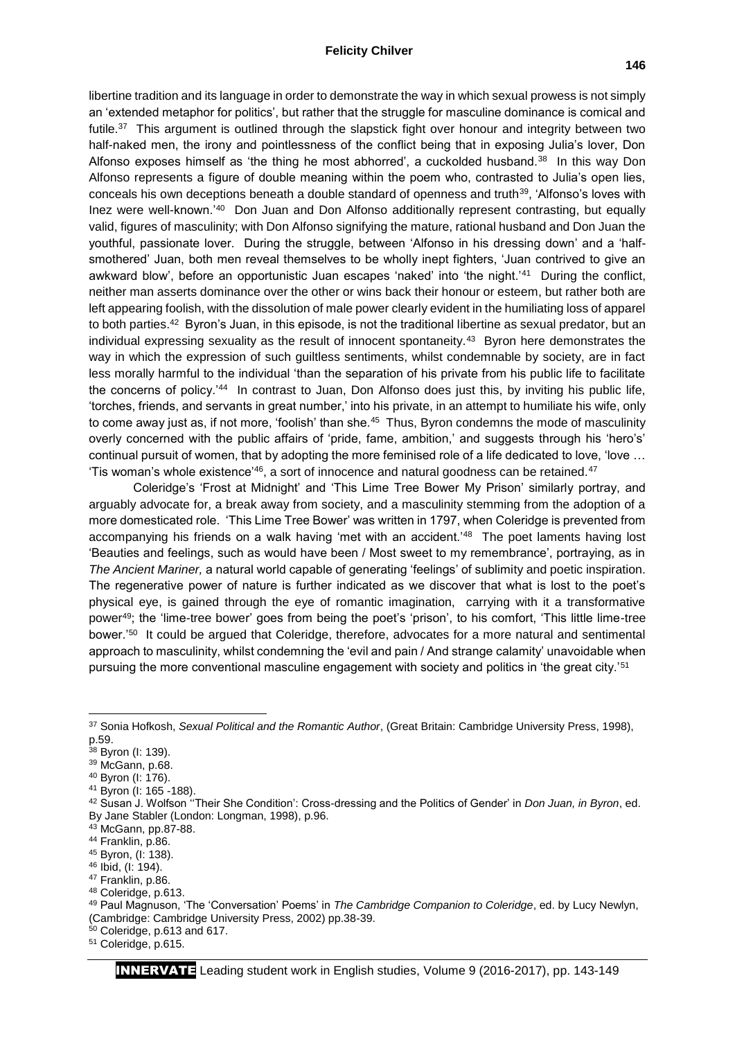#### **Felicity Chilver**

libertine tradition and its language in order to demonstrate the way in which sexual prowess is not simply an 'extended metaphor for politics', but rather that the struggle for masculine dominance is comical and futile.<sup>37</sup> This argument is outlined through the slapstick fight over honour and integrity between two half-naked men, the irony and pointlessness of the conflict being that in exposing Julia's lover, Don Alfonso exposes himself as 'the thing he most abhorred', a cuckolded husband.<sup>38</sup> In this way Don Alfonso represents a figure of double meaning within the poem who, contrasted to Julia's open lies, conceals his own deceptions beneath a double standard of openness and truth<sup>39</sup>, 'Alfonso's loves with Inez were well-known.<sup>'40</sup> Don Juan and Don Alfonso additionally represent contrasting, but equally valid, figures of masculinity; with Don Alfonso signifying the mature, rational husband and Don Juan the youthful, passionate lover. During the struggle, between 'Alfonso in his dressing down' and a 'halfsmothered' Juan, both men reveal themselves to be wholly inept fighters, 'Juan contrived to give an awkward blow', before an opportunistic Juan escapes 'naked' into 'the night.'<sup>41</sup> During the conflict, neither man asserts dominance over the other or wins back their honour or esteem, but rather both are left appearing foolish, with the dissolution of male power clearly evident in the humiliating loss of apparel to both parties.<sup>42</sup> Byron's Juan, in this episode, is not the traditional libertine as sexual predator, but an individual expressing sexuality as the result of innocent spontaneity.<sup>43</sup> Byron here demonstrates the way in which the expression of such guiltless sentiments, whilst condemnable by society, are in fact less morally harmful to the individual 'than the separation of his private from his public life to facilitate the concerns of policy.<sup>'44</sup> In contrast to Juan, Don Alfonso does just this, by inviting his public life, 'torches, friends, and servants in great number,' into his private, in an attempt to humiliate his wife, only to come away just as, if not more, 'foolish' than she.<sup>45</sup> Thus, Byron condemns the mode of masculinity overly concerned with the public affairs of 'pride, fame, ambition,' and suggests through his 'hero's' continual pursuit of women, that by adopting the more feminised role of a life dedicated to love, 'love ... 'Tis woman's whole existence'<sup>46</sup>, a sort of innocence and natural goodness can be retained.<sup>47</sup>

Coleridge's 'Frost at Midnight' and 'This Lime Tree Bower My Prison' similarly portray, and arguably advocate for, a break away from society, and a masculinity stemming from the adoption of a more domesticated role. 'This Lime Tree Bower' was written in 1797, when Coleridge is prevented from accompanying his friends on a walk having 'met with an accident.<sup>'48</sup> The poet laments having lost 'Beauties and feelings, such as would have been / Most sweet to my remembrance', portraying, as in *The Ancient Mariner,* a natural world capable of generating 'feelings' of sublimity and poetic inspiration. The regenerative power of nature is further indicated as we discover that what is lost to the poet's physical eye, is gained through the eye of romantic imagination, carrying with it a transformative power<sup>49</sup>; the 'lime-tree bower' goes from being the poet's 'prison', to his comfort, 'This little lime-tree bower.'<sup>50</sup> It could be argued that Coleridge, therefore, advocates for a more natural and sentimental approach to masculinity, whilst condemning the 'evil and pain / And strange calamity' unavoidable when pursuing the more conventional masculine engagement with society and politics in 'the great city.'<sup>51</sup>

 $\overline{\phantom{a}}$ 

<sup>37</sup> Sonia Hofkosh, *Sexual Political and the Romantic Author*, (Great Britain: Cambridge University Press, 1998), p.59.

<sup>38</sup> Byron (I: 139).

<sup>39</sup> McGann, p.68.

<sup>40</sup> Byron (I: 176).

<sup>41</sup> Byron (I: 165 -188).

<sup>42</sup> Susan J. Wolfson ''Their She Condition': Cross-dressing and the Politics of Gender' in *Don Juan, in Byron*, ed. By Jane Stabler (London: Longman, 1998), p.96.

<sup>43</sup> McGann, pp.87-88.

<sup>44</sup> Franklin, p.86.

<sup>45</sup> Byron, (I: 138).

<sup>46</sup> Ibid, (I: 194). <sup>47</sup> Franklin, p.86.

<sup>48</sup> Coleridge, p.613.

<sup>49</sup> Paul Magnuson, 'The 'Conversation' Poems' in *The Cambridge Companion to Coleridge*, ed. by Lucy Newlyn, (Cambridge: Cambridge University Press, 2002) pp.38-39.

 $50$  Coleridge, p.613 and 617.

<sup>51</sup> Coleridge, p.615.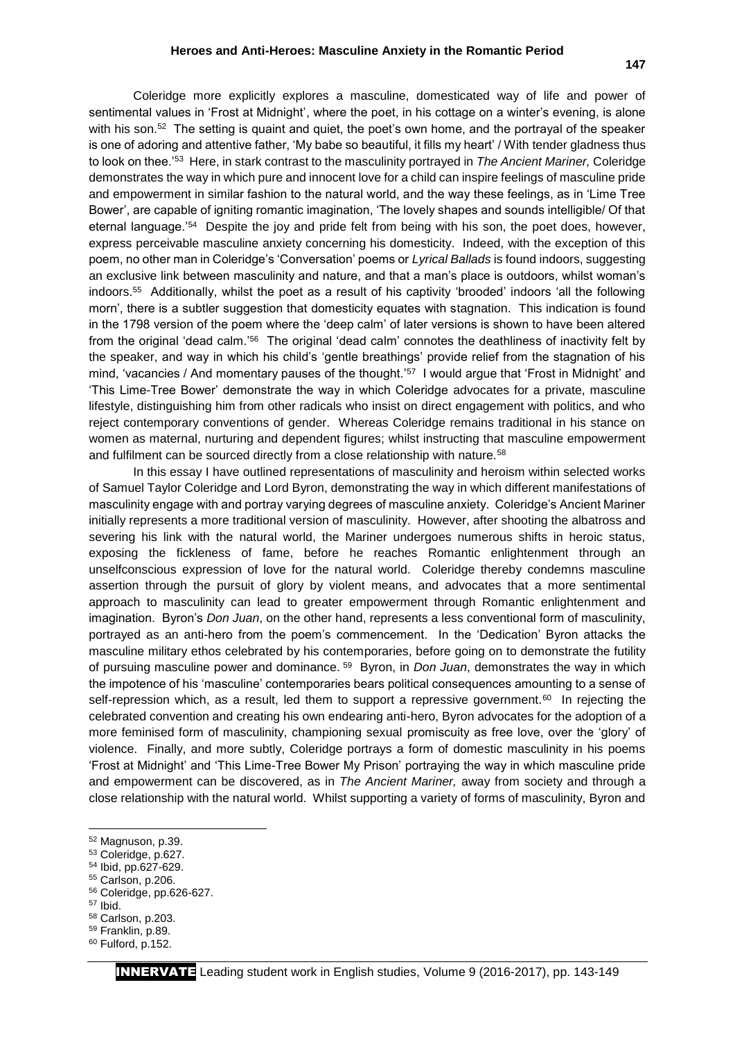is one of adoring and attentive father, 'My babe so beautiful, it fills my heart' / With tender gladness thus to look on thee.'<sup>53</sup> Here, in stark contrast to the masculinity portrayed in *The Ancient Mariner,* Coleridge demonstrates the way in which pure and innocent love for a child can inspire feelings of masculine pride and empowerment in similar fashion to the natural world, and the way these feelings, as in 'Lime Tree Bower', are capable of igniting romantic imagination, 'The lovely shapes and sounds intelligible/ Of that eternal language.<sup>'54</sup> Despite the joy and pride felt from being with his son, the poet does, however, express perceivable masculine anxiety concerning his domesticity. Indeed, with the exception of this poem, no other man in Coleridge's 'Conversation' poems or *Lyrical Ballads* is found indoors, suggesting an exclusive link between masculinity and nature, and that a man's place is outdoors, whilst woman's indoors.<sup>55</sup> Additionally, whilst the poet as a result of his captivity 'brooded' indoors 'all the following morn', there is a subtler suggestion that domesticity equates with stagnation. This indication is found in the 1798 version of the poem where the 'deep calm' of later versions is shown to have been altered from the original 'dead calm.'<sup>56</sup> The original 'dead calm' connotes the deathliness of inactivity felt by the speaker, and way in which his child's 'gentle breathings' provide relief from the stagnation of his mind, 'vacancies / And momentary pauses of the thought.'<sup>57</sup> I would argue that 'Frost in Midnight' and 'This Lime-Tree Bower' demonstrate the way in which Coleridge advocates for a private, masculine lifestyle, distinguishing him from other radicals who insist on direct engagement with politics, and who reject contemporary conventions of gender. Whereas Coleridge remains traditional in his stance on women as maternal, nurturing and dependent figures; whilst instructing that masculine empowerment and fulfilment can be sourced directly from a close relationship with nature.<sup>58</sup>

In this essay I have outlined representations of masculinity and heroism within selected works of Samuel Taylor Coleridge and Lord Byron, demonstrating the way in which different manifestations of masculinity engage with and portray varying degrees of masculine anxiety. Coleridge's Ancient Mariner initially represents a more traditional version of masculinity. However, after shooting the albatross and severing his link with the natural world, the Mariner undergoes numerous shifts in heroic status, exposing the fickleness of fame, before he reaches Romantic enlightenment through an unselfconscious expression of love for the natural world. Coleridge thereby condemns masculine assertion through the pursuit of glory by violent means, and advocates that a more sentimental approach to masculinity can lead to greater empowerment through Romantic enlightenment and imagination. Byron's *Don Juan*, on the other hand, represents a less conventional form of masculinity, portrayed as an anti-hero from the poem's commencement. In the 'Dedication' Byron attacks the masculine military ethos celebrated by his contemporaries, before going on to demonstrate the futility of pursuing masculine power and dominance. <sup>59</sup> Byron, in *Don Juan*, demonstrates the way in which the impotence of his 'masculine' contemporaries bears political consequences amounting to a sense of self-repression which, as a result, led them to support a repressive government.<sup>60</sup> In rejecting the celebrated convention and creating his own endearing anti-hero, Byron advocates for the adoption of a more feminised form of masculinity, championing sexual promiscuity as free love, over the 'glory' of violence. Finally, and more subtly, Coleridge portrays a form of domestic masculinity in his poems 'Frost at Midnight' and 'This Lime-Tree Bower My Prison' portraying the way in which masculine pride and empowerment can be discovered, as in *The Ancient Mariner,* away from society and through a close relationship with the natural world. Whilst supporting a variety of forms of masculinity, Byron and

- <sup>54</sup> Ibid, pp.627-629.
- <sup>55</sup> Carlson, p.206.
- <sup>56</sup> Coleridge, pp.626-627.

**.** 

- <sup>58</sup> Carlson, p.203.
- <sup>59</sup> Franklin, p.89.
- <sup>60</sup> Fulford, p.152.

<sup>52</sup> Magnuson, p.39.

<sup>53</sup> Coleridge, p.627.

<sup>57</sup> Ibid.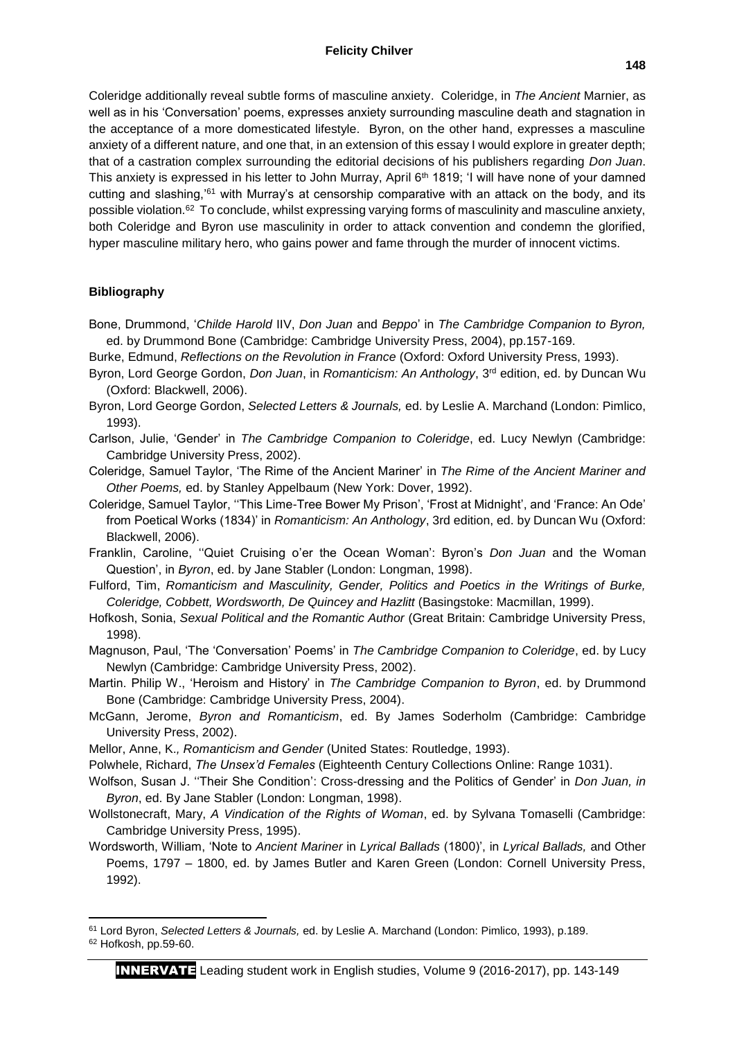Coleridge additionally reveal subtle forms of masculine anxiety. Coleridge, in *The Ancient* Marnier, as well as in his 'Conversation' poems, expresses anxiety surrounding masculine death and stagnation in the acceptance of a more domesticated lifestyle. Byron, on the other hand, expresses a masculine anxiety of a different nature, and one that, in an extension of this essay I would explore in greater depth; that of a castration complex surrounding the editorial decisions of his publishers regarding *Don Juan*. This anxiety is expressed in his letter to John Murray, April 6<sup>th</sup> 1819; 'I will have none of your damned cutting and slashing,'<sup>61</sup> with Murray's at censorship comparative with an attack on the body, and its possible violation.<sup>62</sup> To conclude, whilst expressing varying forms of masculinity and masculine anxiety, both Coleridge and Byron use masculinity in order to attack convention and condemn the glorified, hyper masculine military hero, who gains power and fame through the murder of innocent victims.

### **Bibliography**

Bone, Drummond, '*Childe Harold* IIV, *Don Juan* and *Beppo*' in *The Cambridge Companion to Byron,*  ed. by Drummond Bone (Cambridge: Cambridge University Press, 2004), pp.157-169.

Burke, Edmund, *Reflections on the Revolution in France* (Oxford: Oxford University Press, 1993).

- Byron, Lord George Gordon, *Don Juan*, in *Romanticism: An Anthology*, 3<sup>rd</sup> edition, ed. by Duncan Wu (Oxford: Blackwell, 2006).
- Byron, Lord George Gordon, *Selected Letters & Journals,* ed. by Leslie A. Marchand (London: Pimlico, 1993).
- Carlson, Julie, 'Gender' in *The Cambridge Companion to Coleridge*, ed. Lucy Newlyn (Cambridge: Cambridge University Press, 2002).

Coleridge, Samuel Taylor, 'The Rime of the Ancient Mariner' in *The Rime of the Ancient Mariner and Other Poems,* ed. by Stanley Appelbaum (New York: Dover, 1992).

- Coleridge, Samuel Taylor, ''This Lime-Tree Bower My Prison', 'Frost at Midnight', and 'France: An Ode' from Poetical Works (1834)' in *Romanticism: An Anthology*, 3rd edition, ed. by Duncan Wu (Oxford: Blackwell, 2006).
- Franklin, Caroline, ''Quiet Cruising o'er the Ocean Woman': Byron's *Don Juan* and the Woman Question', in *Byron*, ed. by Jane Stabler (London: Longman, 1998).
- Fulford, Tim, *Romanticism and Masculinity, Gender, Politics and Poetics in the Writings of Burke, Coleridge, Cobbett, Wordsworth, De Quincey and Hazlitt* (Basingstoke: Macmillan, 1999).
- Hofkosh, Sonia, *Sexual Political and the Romantic Author* (Great Britain: Cambridge University Press, 1998).

Magnuson, Paul, 'The 'Conversation' Poems' in *The Cambridge Companion to Coleridge*, ed. by Lucy Newlyn (Cambridge: Cambridge University Press, 2002).

- Martin. Philip W., 'Heroism and History' in *The Cambridge Companion to Byron*, ed. by Drummond Bone (Cambridge: Cambridge University Press, 2004).
- McGann, Jerome, *Byron and Romanticism*, ed. By James Soderholm (Cambridge: Cambridge University Press, 2002).

Mellor, Anne, K.*, Romanticism and Gender* (United States: Routledge, 1993).

- Polwhele, Richard, *The Unsex'd Females* (Eighteenth Century Collections Online: Range 1031).
- Wolfson, Susan J. ''Their She Condition': Cross-dressing and the Politics of Gender' in *Don Juan, in Byron*, ed. By Jane Stabler (London: Longman, 1998).
- Wollstonecraft, Mary, *A Vindication of the Rights of Woman*, ed. by Sylvana Tomaselli (Cambridge: Cambridge University Press, 1995).
- Wordsworth, William, 'Note to *Ancient Mariner* in *Lyrical Ballads* (1800)', in *Lyrical Ballads,* and Other Poems, 1797 – 1800, ed. by James Butler and Karen Green (London: Cornell University Press, 1992).

**<sup>.</sup>** <sup>61</sup> Lord Byron, *Selected Letters & Journals,* ed. by Leslie A. Marchand (London: Pimlico, 1993), p.189. <sup>62</sup> Hofkosh, pp.59-60.